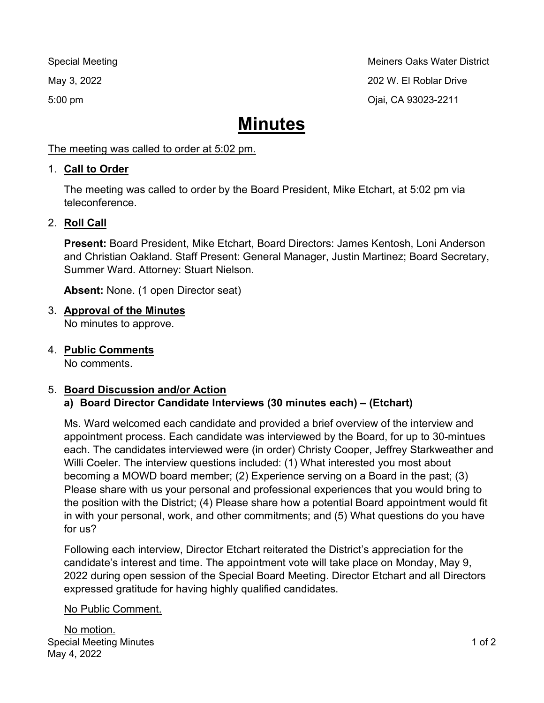Special Meeting Methods of the Methods of Special Meeting Methods of the Methods of the Methods of the Methods May 3, 2022 202 W. El Roblar Drive 5:00 pm Ojai, CA 93023-2211

# **Minutes**

The meeting was called to order at 5:02 pm.

#### 1. **Call to Order**

The meeting was called to order by the Board President, Mike Etchart, at 5:02 pm via teleconference.

## 2. **Roll Call**

**Present:** Board President, Mike Etchart, Board Directors: James Kentosh, Loni Anderson and Christian Oakland. Staff Present: General Manager, Justin Martinez; Board Secretary, Summer Ward. Attorney: Stuart Nielson.

**Absent:** None. (1 open Director seat)

## 3. **Approval of the Minutes**

No minutes to approve.

4. **Public Comments**

No comments.

## 5. **Board Discussion and/or Action**

## **a) Board Director Candidate Interviews (30 minutes each) – (Etchart)**

Ms. Ward welcomed each candidate and provided a brief overview of the interview and appointment process. Each candidate was interviewed by the Board, for up to 30-mintues each. The candidates interviewed were (in order) Christy Cooper, Jeffrey Starkweather and Willi Coeler. The interview questions included: (1) What interested you most about becoming a MOWD board member; (2) Experience serving on a Board in the past; (3) Please share with us your personal and professional experiences that you would bring to the position with the District; (4) Please share how a potential Board appointment would fit in with your personal, work, and other commitments; and (5) What questions do you have for us?

Following each interview, Director Etchart reiterated the District's appreciation for the candidate's interest and time. The appointment vote will take place on Monday, May 9, 2022 during open session of the Special Board Meeting. Director Etchart and all Directors expressed gratitude for having highly qualified candidates.

#### No Public Comment.

Special Meeting Minutes May 4, 2022 No motion.